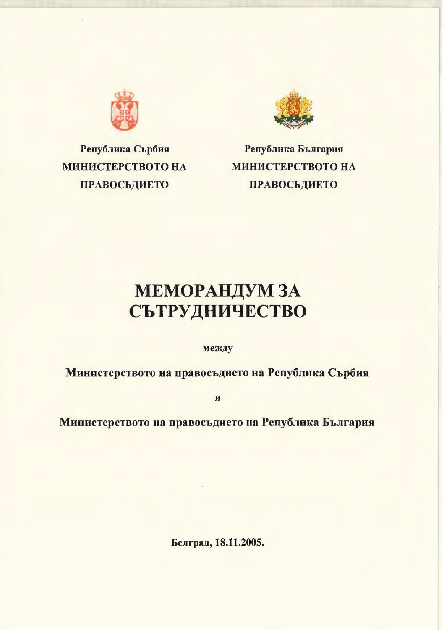

Република Сърбия MHHHCTEPCTBOTO HA ПРАВОСЬДИЕТО



Република България MHHHCTEPCTBOTO HA ПРАВОСЬДИЕТО

# **МЕМОРАНДУМ ЗА** СЪТРУДНИЧЕСТВО

между

Министерството на правосъдието на Република Сърбия

u

Министерството на правосъдието на Република България

Белград, 18.11.2005.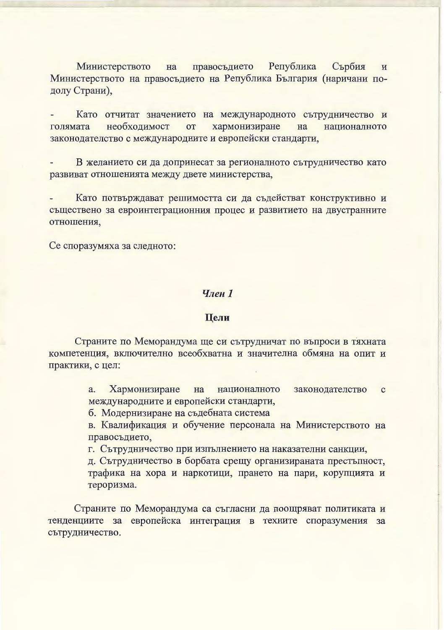Република правосъдието Сърбия Министерството на  $\overline{M}$ Министерството на правосъдието на Република България (наричани подолу Страни),

Като отчитат значението на международното сътрудничество и хармонизиране голямата необходимост or на националното законодателство с международните и европейски стандарти,

В желанието си да допринесат за регионалното сътрудничество като развиват отношенията между двете министерства,

Като потвърждават решимостта си да съдействат конструктивно и съществено за евроинтеграционния процес и развитието на двустранните отношения,

Се споразумяха за следното:

## Член 1

## Цели

Страните по Меморандума ще си сътрудничат по въпроси в тяхната компетенция, включително всеобхватна и значителна обмяна на опит и практики, с цел:

> Хармонизиране на националното законодателство a.  $\mathbf{C}$ международните и европейски стандарти,

б. Модернизиране на съдебната система

в. Квалификация и обучение персонала на Министерството на правосъдието,

г. Сътрудничество при изпълнението на наказателни санкции,

д. Сътрудничество в борбата срещу организираната престъпност, трафика на хора и наркотици, прането на пари, корупцията и тероризма.

Страните по Меморандума са съгласни да поощряват политиката и тенденциите за европейска интеграция в техните споразумения за сътрудничество.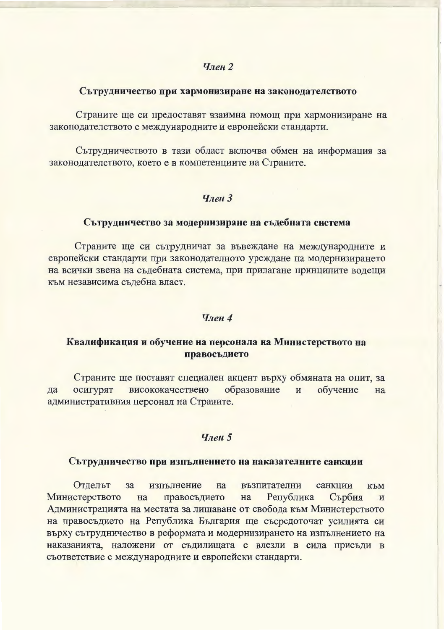## **Член 2**

## Сътрудничество при хармонизиране на законодателството

Страните ще си предоставят взаимна помощ при хармонизиране на законодателството с международните и европейски стандарти.

Сътрудничеството в тази област включва обмен на информация за законодателството, което е в компетенциите на Страните.

# $q_{\text{R}eh}$  3

## Сътрудничество за модернизиране на съдебната система

Страните ще си сътрудничат за въвеждане на международните и европейски стандарти при законодателното уреждане на модернизирането на всички звена на съдебната система, при прилагане принципите водещи към независима съдебна власт.

## $q_{neh}$  4

# Квалификация и обучение на персонала на Министерството на правосъдието

Страните ще поставят специален акцент върху обмяната на опит, за висококачествено образование обучение  $\overline{M}$ да осигурят на административния персонал на Страните.

## Член 5

#### Сътрудничество при изпълнението на наказателните санкции

възпитателни Отделът  $3a$ изпълнение на санкции КЪМ правосъдието Република Сърбия Министерството на на  $\mathbf{M}$ Администрацията на местата за лишаване от свобода към Министерството на правосъдието на Република България ще съсредоточат усилията си върху сътрудничество в реформата и модернизирането на изпълнението на наказанията, наложени от съдилищата с влезли в сила присъди в съответствие с международните и европейски стандарти.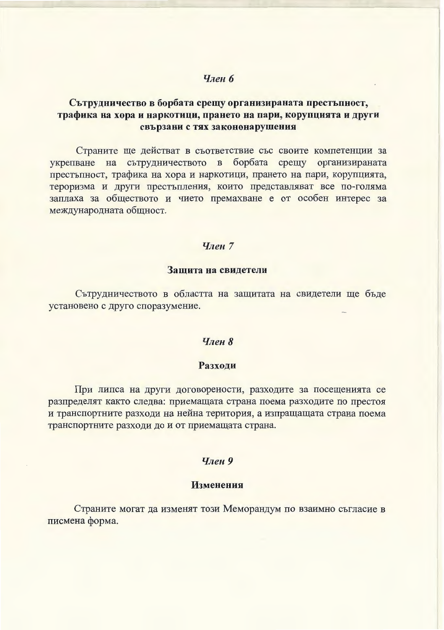## Член б

# Сътрудничество в борбата срещу организираната престъпност, трафика на хора и наркотици, прането на пари, корупцията и други свързани с тях закононарушения

Страните ще действат в съответствие със своите компетенции за укрепване на сътрудничеството в борбата срещу организираната престъпност, трафика на хора и наркотици, прането на пари, корупцията, тероризма и други престъпления, които представляват все по-голяма заплаха за обществото и чието премахване е от особен интерес за международната общност.

## Член 7

#### Защита на свидетели

Сътрудничеството в областта на защитата на свидетели ще бъде установено с друго споразумение.

## Член 8

#### Разходи

При липса на други договорености, разходите за посещенията се разпределят както следва: приемащата страна поема разходите по престоя и транспортните разходи на нейна територия, а изпращащата страна поема транспортните разходи до и от приемащата страна.

#### Член 9

#### Изменения

Страните могат да изменят този Меморандум по взаимно съгласие в писмена форма.